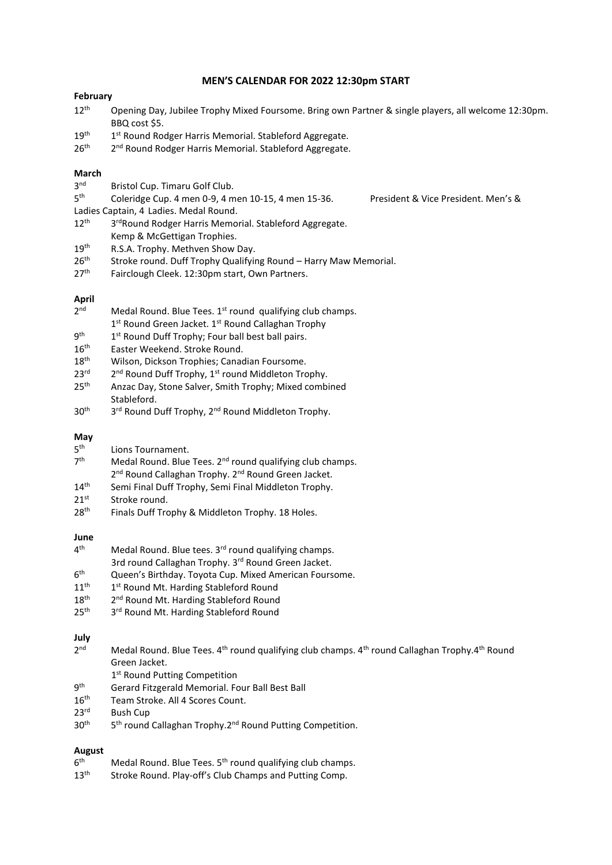#### **MEN'S CALENDAR FOR 2022 12:30pm START**

## **February**

- 12<sup>th</sup> Opening Day, Jubilee Trophy Mixed Foursome. Bring own Partner & single players, all welcome 12:30pm. BBQ cost \$5.
- $19<sup>th</sup>$ 1<sup>st</sup> Round Rodger Harris Memorial. Stableford Aggregate.
- $26<sup>th</sup>$ 2<sup>nd</sup> Round Rodger Harris Memorial. Stableford Aggregate.

# **March**

- 3<sup>nd</sup> Bristol Cup. Timaru Golf Club.
- 5<sup>th</sup> Coleridge Cup. 4 men 0-9, 4 men 10-15, 4 men 15-36. President & Vice President. Men's &
- Ladies Captain, 4 Ladies. Medal Round.
- $12<sup>th</sup>$ 3<sup>rd</sup>Round Rodger Harris Memorial. Stableford Aggregate. Kemp & McGettigan Trophies.
- 19<sup>th</sup> R.S.A. Trophy. Methven Show Day.
- 26<sup>th</sup> Stroke round. Duff Trophy Qualifying Round Harry Maw Memorial.
- 27<sup>th</sup> Fairclough Cleek. 12:30pm start, Own Partners.

# **April**

- $2<sub>nd</sub>$ Medal Round. Blue Tees. 1<sup>st</sup> round qualifying club champs.
- 1st Round Green Jacket. 1st Round Callaghan Trophy
- 9<sup>th</sup> 1 1<sup>st</sup> Round Duff Trophy; Four ball best ball pairs.
- 16<sup>th</sup> Easter Weekend. Stroke Round.
- 18<sup>th</sup> Wilson, Dickson Trophies; Canadian Foursome.
- $23<sup>rd</sup>$  $2^{nd}$  Round Duff Trophy,  $1^{st}$  round Middleton Trophy.
- 25<sup>th</sup> Anzac Day, Stone Salver, Smith Trophy; Mixed combined Stableford.
- $30<sup>th</sup>$ 3<sup>rd</sup> Round Duff Trophy, 2<sup>nd</sup> Round Middleton Trophy.

## **May**

- $5<sup>th</sup>$ Lions Tournament.
- $7<sup>th</sup>$ Medal Round. Blue Tees. 2<sup>nd</sup> round qualifying club champs. 2<sup>nd</sup> Round Callaghan Trophy. 2<sup>nd</sup> Round Green Jacket.
- 14<sup>th</sup> Semi Final Duff Trophy, Semi Final Middleton Trophy.
- $21^{st}$  Stroke round.<br> $28^{th}$  Finals Duff Tro
- Finals Duff Trophy & Middleton Trophy. 18 Holes.

#### **June**

- $4<sup>th</sup>$ Medal Round. Blue tees. 3<sup>rd</sup> round qualifying champs.
- 3rd round Callaghan Trophy. 3<sup>rd</sup> Round Green Jacket.
- $6<sup>th</sup>$ Queen's Birthday. Toyota Cup. Mixed American Foursome.
- $11^{\text{th}}$ 1<sup>st</sup> Round Mt. Harding Stableford Round
- 18<sup>th</sup> 2 2<sup>nd</sup> Round Mt. Harding Stableford Round
- $25<sup>th</sup>$ 3rd Round Mt. Harding Stableford Round

#### **July**

- $2<sub>nd</sub>$ Medal Round. Blue Tees. 4<sup>th</sup> round qualifying club champs. 4<sup>th</sup> round Callaghan Trophy.4<sup>th</sup> Round Green Jacket.
- 1<sup>st</sup> Round Putting Competition
- q<sup>th</sup> Gerard Fitzgerald Memorial. Four Ball Best Ball
- 16<sup>th</sup> Team Stroke. All 4 Scores Count.
- 23rd Bush Cup
- $30<sup>th</sup>$ 5<sup>th</sup> round Callaghan Trophy.2<sup>nd</sup> Round Putting Competition.

# **August**

- $6<sup>th</sup>$ Medal Round. Blue Tees. 5<sup>th</sup> round qualifying club champs.
- 13<sup>th</sup> Stroke Round. Play-off's Club Champs and Putting Comp.